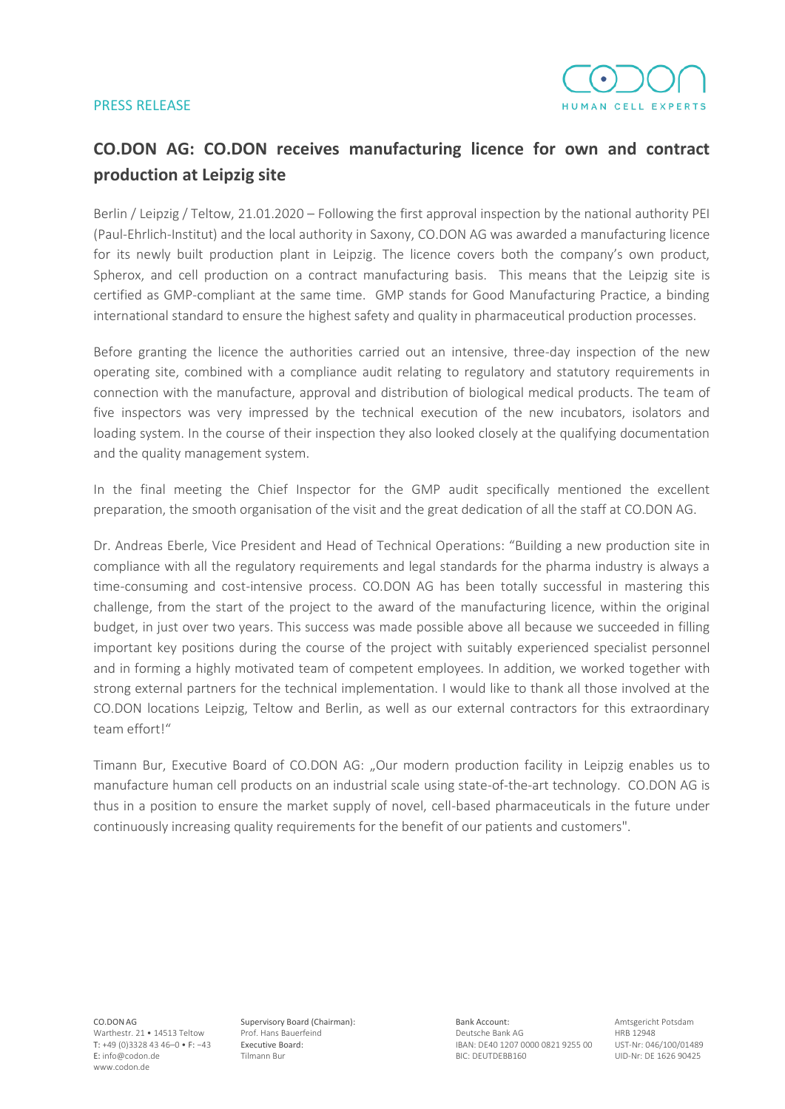## PRESS RELEASE



## **CO.DON AG: CO.DON receives manufacturing licence for own and contract production at Leipzig site**

Berlin / Leipzig / Teltow, 21.01.2020 – Following the first approval inspection by the national authority PEI (Paul-Ehrlich-Institut) and the local authority in Saxony, CO.DON AG was awarded a manufacturing licence for its newly built production plant in Leipzig. The licence covers both the company's own product, Spherox, and cell production on a contract manufacturing basis. This means that the Leipzig site is certified as GMP-compliant at the same time. GMP stands for Good Manufacturing Practice, a binding international standard to ensure the highest safety and quality in pharmaceutical production processes.

Before granting the licence the authorities carried out an intensive, three-day inspection of the new operating site, combined with a compliance audit relating to regulatory and statutory requirements in connection with the manufacture, approval and distribution of biological medical products. The team of five inspectors was very impressed by the technical execution of the new incubators, isolators and loading system. In the course of their inspection they also looked closely at the qualifying documentation and the quality management system.

In the final meeting the Chief Inspector for the GMP audit specifically mentioned the excellent preparation, the smooth organisation of the visit and the great dedication of all the staff at CO.DON AG.

Dr. Andreas Eberle, Vice President and Head of Technical Operations: "Building a new production site in compliance with all the regulatory requirements and legal standards for the pharma industry is always a time-consuming and cost-intensive process. CO.DON AG has been totally successful in mastering this challenge, from the start of the project to the award of the manufacturing licence, within the original budget, in just over two years. This success was made possible above all because we succeeded in filling important key positions during the course of the project with suitably experienced specialist personnel and in forming a highly motivated team of competent employees. In addition, we worked together with strong external partners for the technical implementation. I would like to thank all those involved at the CO.DON locations Leipzig, Teltow and Berlin, as well as our external contractors for this extraordinary team effort!"

Timann Bur, Executive Board of CO.DON AG: "Our modern production facility in Leipzig enables us to manufacture human cell products on an industrial scale using state-of-the-art technology. CO.DON AG is thus in a position to ensure the market supply of novel, cell-based pharmaceuticals in the future under continuously increasing quality requirements for the benefit of our patients and customers".

CO.DONAG Warthestr. 21 • 14513 Teltow T: +49 (0)3328 43 46–0 • F: −43 E: info@codon.de www.codon.de

Supervisory Board (Chairman): Prof. Hans Bauerfeind Executive Board: Tilmann Bur

Bank Account: Deutsche Bank AG IBAN: DE40 1207 0000 0821 9255 00 BIC: DEUTDEBB160

Amtsgericht Potsdam HRB 12948 UST-Nr: 046/100/01489 UID-Nr: DE 1626 90425